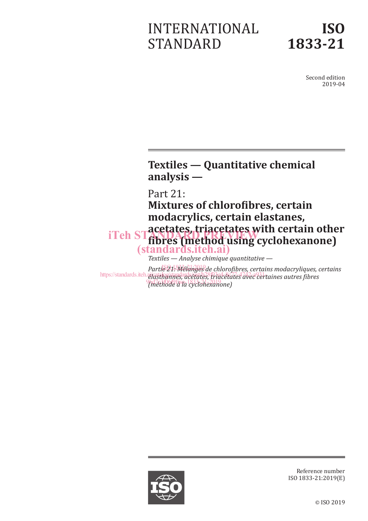# INTERNATIONAL STANDARD

Second edition 2019-04

# **Textiles — Quantitative chemical analysis —**

Part 21:

**Mixtures of chlorofibres, certain modacrylics, certain elastanes, acetates, triacetates with certain other**  iTeh STatelales, **u lacelales** with certain other (standards.iteh.ai)

*Textiles — Analyse chimique quantitative —*

*Partie 21: Mélanges de chlorofibres, certains modacryliques, certains* ISO 1833-21:2019 https://standards.iteh.aira<del>.tahor/standards.iteh.ai/catalog/standards.iteh.ai/catalog/standards.iteh.ai/catalog</del> *(méthode à la cyclohexanone)* 



Reference number ISO 1833-21:2019(E)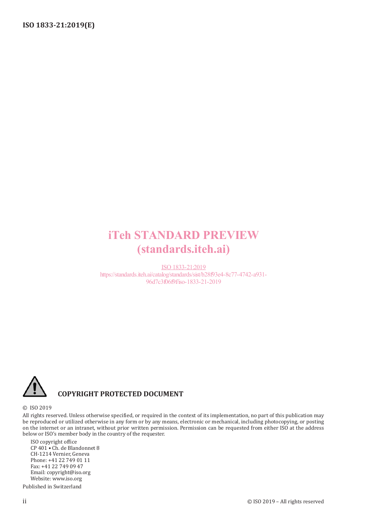# iTeh STANDARD PREVIEW (standards.iteh.ai)

ISO 1833-21:2019 https://standards.iteh.ai/catalog/standards/sist/b28f93e4-8c77-4742-a931- 96d7c3f06f9f/iso-1833-21-2019



## **COPYRIGHT PROTECTED DOCUMENT**

#### © ISO 2019

All rights reserved. Unless otherwise specified, or required in the context of its implementation, no part of this publication may be reproduced or utilized otherwise in any form or by any means, electronic or mechanical, including photocopying, or posting on the internet or an intranet, without prior written permission. Permission can be requested from either ISO at the address below or ISO's member body in the country of the requester.

ISO copyright office CP 401 • Ch. de Blandonnet 8 CH-1214 Vernier, Geneva Phone: +41 22 749 01 11 Fax: +41 22 749 09 47 Email: copyright@iso.org Website: www.iso.org

Published in Switzerland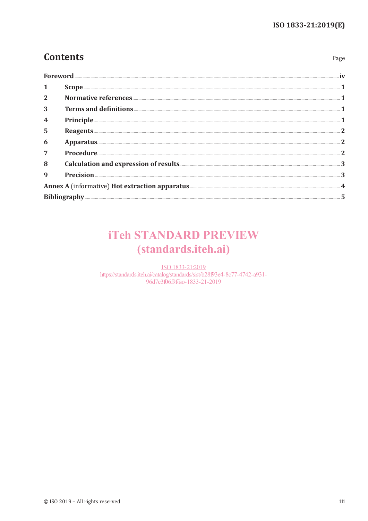Page

# **Contents**

| Foreword       |                                                                                                                                                                                                        |
|----------------|--------------------------------------------------------------------------------------------------------------------------------------------------------------------------------------------------------|
|                |                                                                                                                                                                                                        |
| $\overline{2}$ |                                                                                                                                                                                                        |
| 3              |                                                                                                                                                                                                        |
| 4              |                                                                                                                                                                                                        |
| 5              | Reagents <b>Examples Examples Examples Examples Examples Examples Examples <b>Examples Examples Examples Examples Examples Examples Examples Examples Examples Examples Examples Examples Exam</b></b> |
| 6              |                                                                                                                                                                                                        |
| $\overline{7}$ |                                                                                                                                                                                                        |
| 8              |                                                                                                                                                                                                        |
| 9              |                                                                                                                                                                                                        |
|                |                                                                                                                                                                                                        |
|                |                                                                                                                                                                                                        |

# **iTeh STANDARD PREVIEW** (standards.iteh.ai)

ISO 1833-21:2019 https://standards.iteh.ai/catalog/standards/sist/b28f93e4-8c77-4742-a931-96d7c3f06f9f/iso-1833-21-2019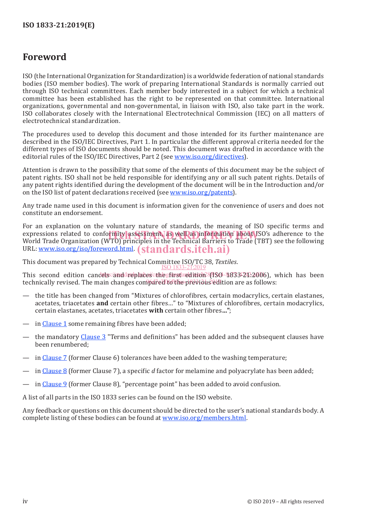## **Foreword**

ISO (the International Organization for Standardization) is a worldwide federation of national standards bodies (ISO member bodies). The work of preparing International Standards is normally carried out through ISO technical committees. Each member body interested in a subject for which a technical committee has been established has the right to be represented on that committee. International organizations, governmental and non-governmental, in liaison with ISO, also take part in the work. ISO collaborates closely with the International Electrotechnical Commission (IEC) on all matters of electrotechnical standardization.

The procedures used to develop this document and those intended for its further maintenance are described in the ISO/IEC Directives, Part 1. In particular the different approval criteria needed for the different types of ISO documents should be noted. This document was drafted in accordance with the editorial rules of the ISO/IEC Directives, Part 2 (see www.iso.org/directives).

Attention is drawn to the possibility that some of the elements of this document may be the subject of patent rights. ISO shall not be held responsible for identifying any or all such patent rights. Details of any patent rights identified during the development of the document will be in the Introduction and/or on the ISO list of patent declarations received (see www.iso.org/patents).

Any trade name used in this document is information given for the convenience of users and does not constitute an endorsement.

For an explanation on the voluntary nature of standards, the meaning of ISO specific terms and expressions related to conformity assessment, as well as information about ISO's adherence to the<br>World Trade Organization (WTO) principles in the Technical Barriers to Trade (TBT) see the following World Trade Organization (WTO) principles in the Technical Barriers to Trade (TBT) see the following URL: <u>www.iso.org/iso/foreword.html</u>. (standards.iteh.ai)

This document was prepared by Technical Committee ISO/TC 38, *Textiles*. ISO 1833-21:2019

This second edition candels://anddareplacescanlegrinsdaredition?{ISO-4833-21:2006), which has been technically revised. The main changes compared to the previous edition are as follows:

- the title has been changed from "Mixtures of chlorofibres, certain modacrylics, certain elastanes, acetates, triacetates **and** certain other fibres…" to "Mixtures of chlorofibres, certain modacrylics, certain elastanes, acetates, triacetates **with** certain other fibres**…"**;
- in Clause 1 some remaining fibres have been added;
- the mandatory Clause 3 "Terms and definitions" has been added and the subsequent clauses have been renumbered;
- in Clause 7 (former Clause 6) tolerances have been added to the washing temperature;
- in Clause 8 (former Clause 7), a specific *d* factor for melamine and polyacrylate has been added;
- in Clause 9 (former Clause 8), "percentage point" has been added to avoid confusion.

A list of all parts in the ISO 1833 series can be found on the ISO website.

Any feedback or questions on this document should be directed to the user's national standards body. A complete listing of these bodies can be found at www.iso.org/members.html.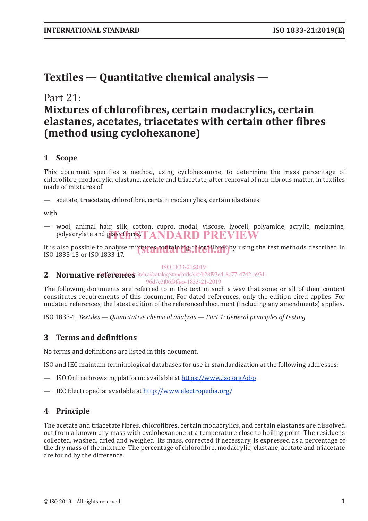# **Textiles — Quantitative chemical analysis —**

# Part 21: **Mixtures of chlorofibres, certain modacrylics, certain elastanes, acetates, triacetates with certain other fibres (method using cyclohexanone)**

## **1 Scope**

This document specifies a method, using cyclohexanone, to determine the mass percentage of chlorofibre, modacrylic, elastane, acetate and triacetate, after removal of non-fibrous matter, in textiles made of mixtures of

— acetate, triacetate, chlorofibre, certain modacrylics, certain elastanes

with

— wool, animal hair, silk, cotton, cupro, modal, viscose, lyocell, polyamide, acrylic, melamine, polyacrylate and glass fibr $\bf STANDARD \ PREVIEW$ 

It is also possible to analyse mi**xtures containing chlorofibres** by using the test methods described in<br>ISO 1833-13 or ISO 1833-17 ISO 1833-13 or ISO 1833-17.

#### ISO 1833-21:2019

### 2 **Normative references**.iteh.ai/catalog/standards/sist/b28f93e4-8c77-4742-a931-

96d7c3f06f9f/iso-1833-21-2019

The following documents are referred to in the text in such a way that some or all of their content constitutes requirements of this document. For dated references, only the edition cited applies. For undated references, the latest edition of the referenced document (including any amendments) applies.

ISO 1833-1, *Textiles — Quantitative chemical analysis — Part 1: General principles of testing*

### **3 Terms and definitions**

No terms and definitions are listed in this document.

ISO and IEC maintain terminological databases for use in standardization at the following addresses:

- ISO Online browsing platform: available at https://www.iso.org/obp
- IEC Electropedia: available at http://www.electropedia.org/

## **4 Principle**

The acetate and triacetate fibres, chlorofibres, certain modacrylics, and certain elastanes are dissolved out from a known dry mass with cyclohexanone at a temperature close to boiling point. The residue is collected, washed, dried and weighed. Its mass, corrected if necessary, is expressed as a percentage of the dry mass of the mixture. The percentage of chlorofibre, modacrylic, elastane, acetate and triacetate are found by the difference.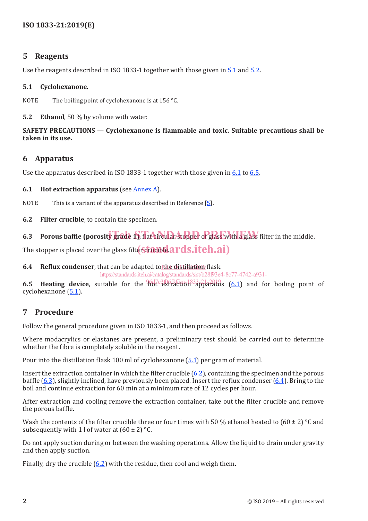### **5 Reagents**

Use the reagents described in ISO 1833-1 together with those given in 5.1 and 5.2.

#### **5.1 Cyclohexanone**.

NOTE The boiling point of cyclohexanone is at 156 °C.

**5.2 Ethanol**, 50 % by volume with water.

#### **SAFETY PRECAUTIONS — Cyclohexanone is flammable and toxic. Suitable precautions shall be taken in its use.**

### **6 Apparatus**

Use the apparatus described in ISO 1833-1 together with those given in 6.1 to 6.5.

#### **6.1 Hot extraction apparatus** (see Annex A).

NOTE This is a variant of the apparatus described in Reference  $[5]$ .

**6.2 Filter crucible**, to contain the specimen.

6.3 Porous baffle (porosity grade 1), flat circular stopper of glass with a glass filter in the middle.

The stopper is placed over the glass filter and be  $\overline{\text{ardash}}$  and  $\overline{\text{ardash}}$  .  $\overline{\text{ardash}}$ 

## **6.4 Reflux condenser**, that can be adapted to the distillation flask.

https://standards.iteh.ai/catalog/standards/sist/b28f93e4-8c77-4742-a931-

**6.5 Heating device**, suitable for the hot extraction<sup>83</sup>apparatus (6.1) and for boiling point of cyclohexanone  $(5.1)$ .

## **7 Procedure**

Follow the general procedure given in ISO 1833-1, and then proceed as follows.

Where modacrylics or elastanes are present, a preliminary test should be carried out to determine whether the fibre is completely soluble in the reagent.

Pour into the distillation flask 100 ml of cyclohexanone (5.1) per gram of material.

Insert the extraction container in which the filter crucible (6.2), containing the specimen and the porous baffle (6.3), slightly inclined, have previously been placed. Insert the reflux condenser (6.4). Bring to the boil and continue extraction for 60 min at a minimum rate of 12 cycles per hour.

After extraction and cooling remove the extraction container, take out the filter crucible and remove the porous baffle.

Wash the contents of the filter crucible three or four times with 50 % ethanol heated to  $(60 \pm 2)$  °C and subsequently with 1 l of water at  $(60 \pm 2)$  °C.

Do not apply suction during or between the washing operations. Allow the liquid to drain under gravity and then apply suction.

Finally, dry the crucible  $(6.2)$  with the residue, then cool and weigh them.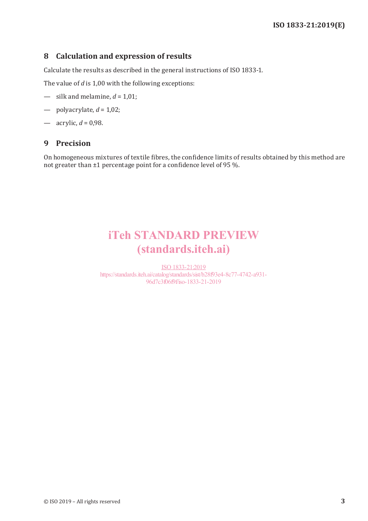### **8 Calculation and expression of results**

Calculate the results as described in the general instructions of ISO 1833-1.

The value of *d* is 1,00 with the following exceptions:

- $-$  silk and melamine,  $d = 1.01$ ;
- $-$  polyacrylate,  $d = 1,02$ ;
- $-$  acrylic,  $d = 0.98$ .

#### **9 Precision**

On homogeneous mixtures of textile fibres, the confidence limits of results obtained by this method are not greater than ±1 percentage point for a confidence level of 95 %.

# iTeh STANDARD PREVIEW (standards.iteh.ai)

ISO 1833-21:2019 https://standards.iteh.ai/catalog/standards/sist/b28f93e4-8c77-4742-a931- 96d7c3f06f9f/iso-1833-21-2019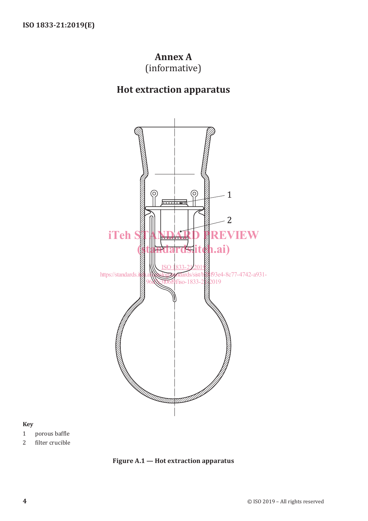## **Annex A** (informative)

# **Hot extraction apparatus**



#### **Key**

- 1 porous baffle
- 2 filter crucible